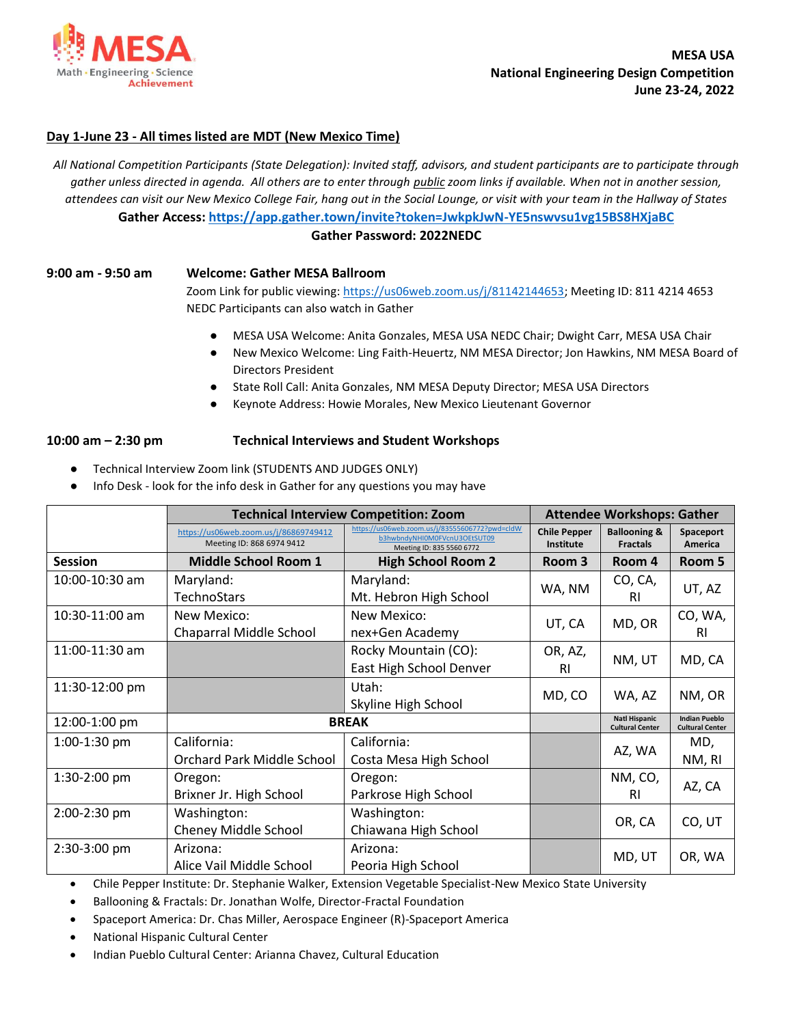

## **Day 1-June 23 - All times listed are MDT (New Mexico Time)**

*All National Competition Participants (State Delegation): Invited staff, advisors, and student participants are to participate through gather unless directed in agenda. All others are to enter through public zoom links if available. When not in another session, attendees can visit our New Mexico College Fair, hang out in the Social Lounge, or visit with your team in the Hallway of States* **Gather Access: <https://app.gather.town/invite?token=JwkpkJwN-YE5nswvsu1vg15BS8HXjaBC>**

## **Gather Password: 2022NEDC**

## **9:00 am - 9:50 am Welcome: Gather MESA Ballroom**

Zoom Link for public viewing: [https://us06web.zoom.us/j/81142144653;](https://us06web.zoom.us/j/81142144653) Meeting ID: 811 4214 4653 NEDC Participants can also watch in Gather

- MESA USA Welcome: Anita Gonzales, MESA USA NEDC Chair; Dwight Carr, MESA USA Chair
- New Mexico Welcome: Ling Faith-Heuertz, NM MESA Director; Jon Hawkins, NM MESA Board of Directors President
- State Roll Call: Anita Gonzales, NM MESA Deputy Director; MESA USA Directors
- Keynote Address: Howie Morales, New Mexico Lieutenant Governor

## **10:00 am – 2:30 pm Technical Interviews and Student Workshops**

- Technical Interview Zoom link (STUDENTS AND JUDGES ONLY)
- Info Desk look for the info desk in Gather for any questions you may have

|                | <b>Technical Interview Competition: Zoom</b>                       |                                                                                                             | <b>Attendee Workshops: Gather</b> |                                                |                                                |
|----------------|--------------------------------------------------------------------|-------------------------------------------------------------------------------------------------------------|-----------------------------------|------------------------------------------------|------------------------------------------------|
|                | https://us06web.zoom.us/j/86869749412<br>Meeting ID: 868 6974 9412 | https://us06web.zoom.us/j/83555606772?pwd=cldW<br>b3hwbndyNHI0M0FVcnU3OEtSUT09<br>Meeting ID: 835 5560 6772 | <b>Chile Pepper</b><br>Institute  | <b>Ballooning &amp;</b><br><b>Fractals</b>     | Spaceport<br><b>America</b>                    |
| <b>Session</b> | <b>Middle School Room 1</b>                                        | <b>High School Room 2</b>                                                                                   | Room 3                            | Room 4                                         | Room 5                                         |
| 10:00-10:30 am | Maryland:                                                          | Maryland:                                                                                                   |                                   | CO, CA,                                        | UT, AZ                                         |
|                | <b>TechnoStars</b>                                                 | Mt. Hebron High School                                                                                      | WA, NM                            | <b>RI</b>                                      |                                                |
| 10:30-11:00 am | New Mexico:                                                        | New Mexico:                                                                                                 | UT, CA                            | MD, OR                                         | CO, WA,                                        |
|                | Chaparral Middle School                                            | nex+Gen Academy                                                                                             |                                   |                                                | RI.                                            |
| 11:00-11:30 am |                                                                    | Rocky Mountain (CO):                                                                                        | OR, AZ,                           |                                                |                                                |
|                |                                                                    | East High School Denver                                                                                     | RI                                | NM, UT                                         | MD, CA                                         |
| 11:30-12:00 pm |                                                                    | Utah:                                                                                                       |                                   |                                                |                                                |
|                |                                                                    | Skyline High School                                                                                         | MD, CO                            | WA, AZ                                         | NM, OR                                         |
| 12:00-1:00 pm  | <b>BREAK</b>                                                       |                                                                                                             |                                   | <b>Natl Hispanic</b><br><b>Cultural Center</b> | <b>Indian Pueblo</b><br><b>Cultural Center</b> |
| $1:00-1:30$ pm | California:                                                        | California:                                                                                                 |                                   |                                                | MD,                                            |
|                | <b>Orchard Park Middle School</b>                                  | Costa Mesa High School                                                                                      |                                   | AZ, WA                                         | NM, RI                                         |
| 1:30-2:00 pm   | Oregon:                                                            | Oregon:                                                                                                     |                                   | NM, CO,                                        |                                                |
|                | Brixner Jr. High School                                            | Parkrose High School                                                                                        |                                   | RI                                             | AZ, CA                                         |
| 2:00-2:30 pm   | Washington:                                                        | Washington:                                                                                                 |                                   |                                                |                                                |
|                | Cheney Middle School                                               | Chiawana High School                                                                                        |                                   | OR, CA                                         | CO, UT                                         |
| 2:30-3:00 pm   | Arizona:                                                           | Arizona:                                                                                                    |                                   |                                                |                                                |
|                | Alice Vail Middle School                                           | Peoria High School                                                                                          |                                   | MD, UT                                         | OR, WA                                         |

• Chile Pepper Institute: Dr. Stephanie Walker, Extension Vegetable Specialist-New Mexico State University

• Ballooning & Fractals: Dr. Jonathan Wolfe, Director-Fractal Foundation

- Spaceport America: Dr. Chas Miller, Aerospace Engineer (R)-Spaceport America
- National Hispanic Cultural Center
- Indian Pueblo Cultural Center: Arianna Chavez, Cultural Education